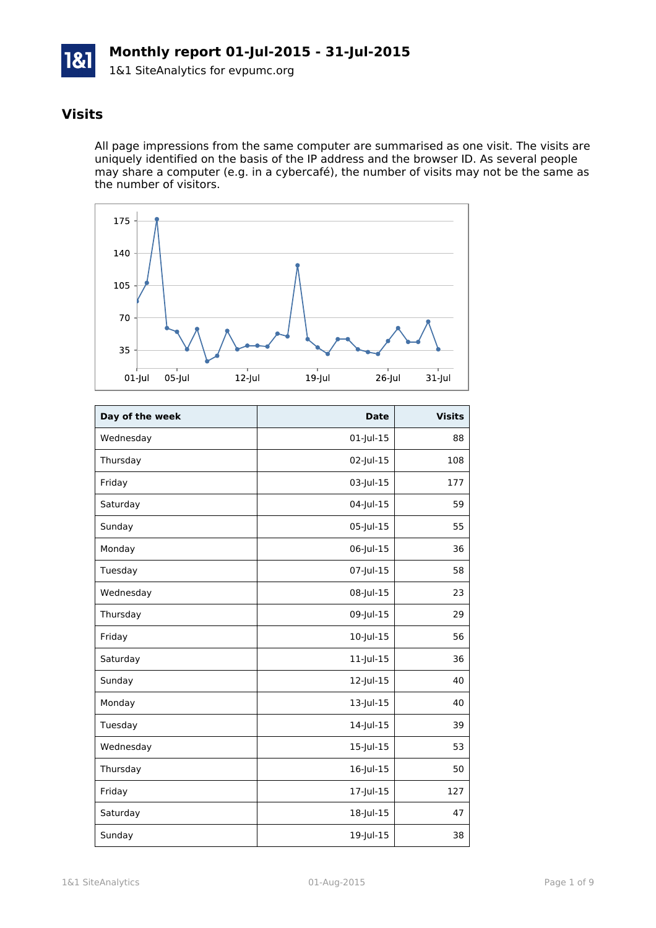#### **Monthly report 01-Jul-2015 - 31-Jul-2015**  $8<sub>1</sub>$

1&1 SiteAnalytics for evpumc.org

### **Visits**

All page impressions from the same computer are summarised as one visit. The visits are uniquely identified on the basis of the IP address and the browser ID. As several people may share a computer (e.g. in a cybercafé), the number of visits may not be the same as the number of visitors.



| Day of the week | <b>Date</b>     | <b>Visits</b> |
|-----------------|-----------------|---------------|
| Wednesday       | 01-Jul-15       | 88            |
| Thursday        | 02-Jul-15       | 108           |
| Friday          | 03-Jul-15       | 177           |
| Saturday        | 04-Jul-15       | 59            |
| Sunday          | 05-Jul-15       | 55            |
| Monday          | 06-Jul-15       | 36            |
| Tuesday         | 07-Jul-15       | 58            |
| Wednesday       | 08-Jul-15       | 23            |
| Thursday        | 09-Jul-15       | 29            |
| Friday          | 10-Jul-15       | 56            |
| Saturday        | $11$ -Jul- $15$ | 36            |
| Sunday          | 12-Jul-15       | 40            |
| Monday          | 13-Jul-15       | 40            |
| Tuesday         | $14$ -Jul- $15$ | 39            |
| Wednesday       | 15-Jul-15       | 53            |
| Thursday        | 16-Jul-15       | 50            |
| Friday          | 17-Jul-15       | 127           |
| Saturday        | 18-Jul-15       | 47            |
| Sunday          | 19-Jul-15       | 38            |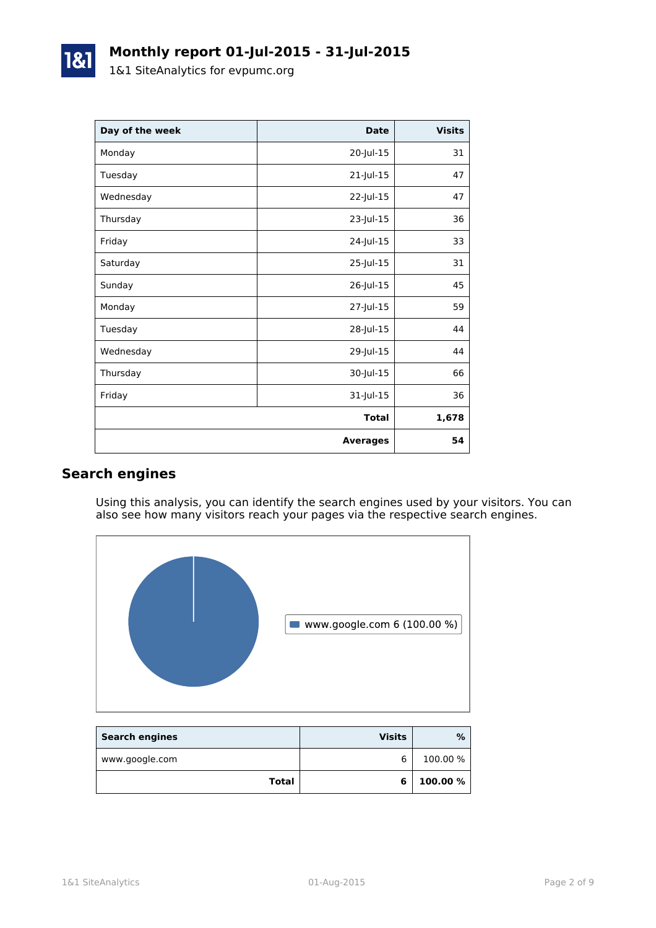| Day of the week | <b>Date</b>     | <b>Visits</b> |
|-----------------|-----------------|---------------|
| Monday          | 20-Jul-15       | 31            |
| Tuesday         | 21-Jul-15       | 47            |
| Wednesday       | 22-Jul-15       | 47            |
| Thursday        | 23-Jul-15       | 36            |
| Friday          | 24-Jul-15       | 33            |
| Saturday        | 25-Jul-15       | 31            |
| Sunday          | 26-Jul-15       | 45            |
| Monday          | 27-Jul-15       | 59            |
| Tuesday         | 28-Jul-15       | 44            |
| Wednesday       | 29-Jul-15       | 44            |
| Thursday        | 30-Jul-15       | 66            |
| Friday          | 31-Jul-15       | 36            |
|                 | <b>Total</b>    | 1,678         |
|                 | <b>Averages</b> | 54            |

### **Search engines**

Using this analysis, you can identify the search engines used by your visitors. You can also see how many visitors reach your pages via the respective search engines.



| <b>Search engines</b> | <b>Visits</b> | %        |
|-----------------------|---------------|----------|
| www.google.com        |               | 100.00 % |
| Total                 | 6             | 100.00 % |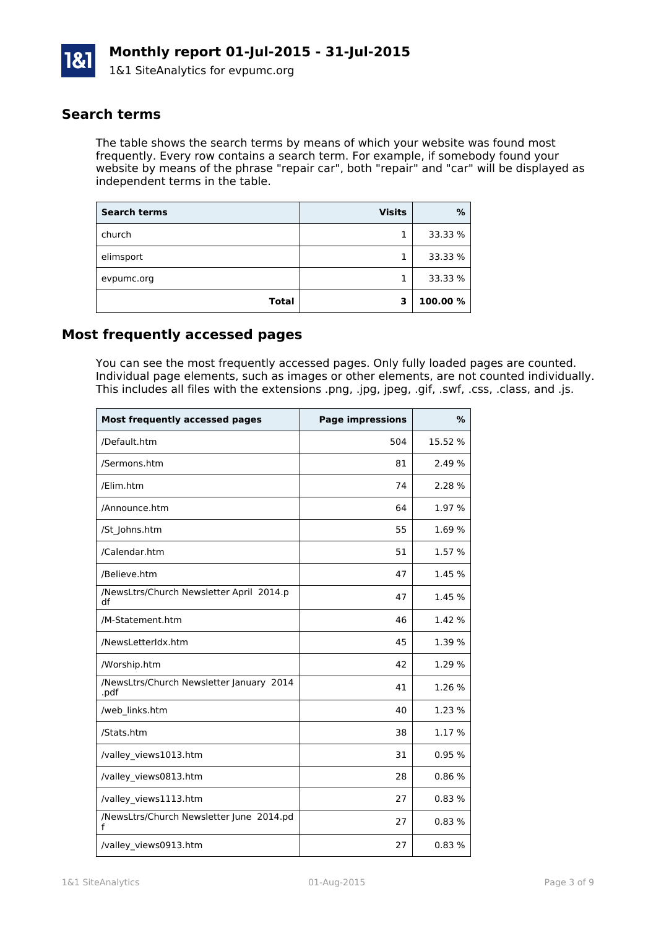

### **Search terms**

The table shows the search terms by means of which your website was found most frequently. Every row contains a search term. For example, if somebody found your website by means of the phrase "repair car", both "repair" and "car" will be displayed as independent terms in the table.

| <b>Search terms</b> | <b>Visits</b> | %        |
|---------------------|---------------|----------|
| church              |               | 33.33 %  |
| elimsport           |               | 33.33 %  |
| evpumc.org          |               | 33.33 %  |
| <b>Total</b>        | 3             | 100.00 % |

### **Most frequently accessed pages**

You can see the most frequently accessed pages. Only fully loaded pages are counted. Individual page elements, such as images or other elements, are not counted individually. This includes all files with the extensions .png, .jpg, jpeg, .gif, .swf, .css, .class, and .js.

| <b>Most frequently accessed pages</b>            | <b>Page impressions</b> | %       |
|--------------------------------------------------|-------------------------|---------|
| /Default.htm                                     | 504                     | 15.52 % |
| /Sermons.htm                                     | 81                      | 2.49 %  |
| /Elim.htm                                        | 74                      | 2.28 %  |
| /Announce.htm                                    | 64                      | 1.97 %  |
| /St_Johns.htm                                    | 55                      | 1.69%   |
| /Calendar.htm                                    | 51                      | 1.57 %  |
| /Believe.htm                                     | 47                      | 1.45 %  |
| /NewsLtrs/Church Newsletter April 2014.p<br>df   | 47                      | 1.45 %  |
| /M-Statement.htm                                 | 46                      | 1.42 %  |
| /NewsLetterIdx.htm                               | 45                      | 1.39 %  |
| /Worship.htm                                     | 42                      | 1.29 %  |
| /NewsLtrs/Church Newsletter January 2014<br>.pdf | 41                      | 1.26 %  |
| /web_links.htm                                   | 40                      | 1.23 %  |
| /Stats.htm                                       | 38                      | 1.17 %  |
| /valley_views1013.htm                            | 31                      | 0.95%   |
| /valley_views0813.htm                            | 28                      | 0.86%   |
| /valley_views1113.htm                            | 27                      | 0.83%   |
| /NewsLtrs/Church Newsletter June 2014.pd<br>f    | 27                      | 0.83%   |
| /valley_views0913.htm                            | 27                      | 0.83%   |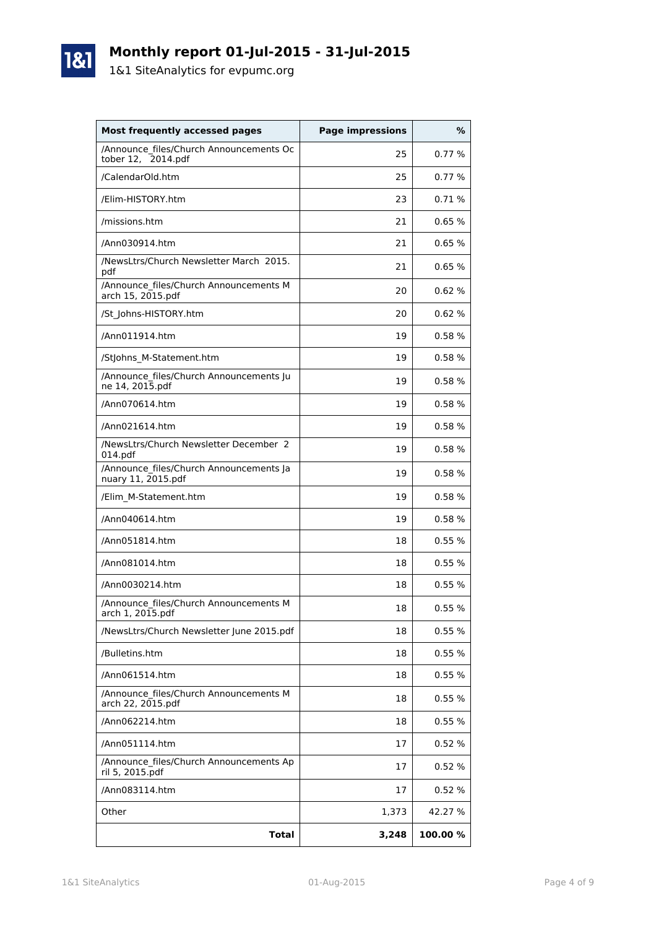

| <b>Most frequently accessed pages</b>                         | <b>Page impressions</b> | %       |
|---------------------------------------------------------------|-------------------------|---------|
| /Announce files/Church Announcements Oc<br>tober 12, 2014.pdf | 25                      | 0.77%   |
| /CalendarOld.htm                                              | 25                      | 0.77%   |
| /Elim-HISTORY.htm                                             | 23                      | 0.71%   |
| /missions.htm                                                 | 21                      | 0.65%   |
| /Ann030914.htm                                                | 21                      | 0.65%   |
| /NewsLtrs/Church Newsletter March 2015.<br>pdf                | 21                      | 0.65%   |
| /Announce files/Church Announcements M<br>arch 15, 2015.pdf   | 20                      | 0.62%   |
| /St_Johns-HISTORY.htm                                         | 20                      | 0.62%   |
| /Ann011914.htm                                                | 19                      | 0.58%   |
| /Stlohns M-Statement.htm                                      | 19                      | 0.58%   |
| /Announce files/Church Announcements Ju<br>ne 14, 2015.pdf    | 19                      | 0.58%   |
| /Ann070614.htm                                                | 19                      | 0.58%   |
| /Ann021614.htm                                                | 19                      | 0.58%   |
| /NewsLtrs/Church Newsletter December 2<br>014.pdf             | 19                      | 0.58%   |
| /Announce files/Church Announcements Ja<br>nuary 11, 2015.pdf | 19                      | 0.58%   |
| /Elim_M-Statement.htm                                         | 19                      | 0.58%   |
| /Ann040614.htm                                                | 19                      | 0.58%   |
| /Ann051814.htm                                                | 18                      | 0.55%   |
| /Ann081014.htm                                                | 18                      | 0.55%   |
| /Ann0030214.htm                                               | 18                      | 0.55%   |
| /Announce files/Church Announcements M<br>arch $1, 2015$ .pdf | 18                      | 0.55%   |
| /NewsLtrs/Church Newsletter June 2015.pdf                     | 18                      | 0.55%   |
| /Bulletins.htm                                                | 18                      | 0.55%   |
| /Ann061514.htm                                                | 18                      | 0.55%   |
| /Announce files/Church Announcements M<br>arch 22, 2015.pdf   | 18                      | 0.55%   |
| /Ann062214.htm                                                | 18                      | 0.55%   |
| /Ann051114.htm                                                | 17                      | 0.52%   |
| /Announce_files/Church Announcements Ap<br>ril 5, 2015.pdf    | 17                      | 0.52%   |
| /Ann083114.htm                                                | 17                      | 0.52%   |
| Other                                                         | 1,373                   | 42.27 % |
| Total                                                         | 3,248                   | 100.00% |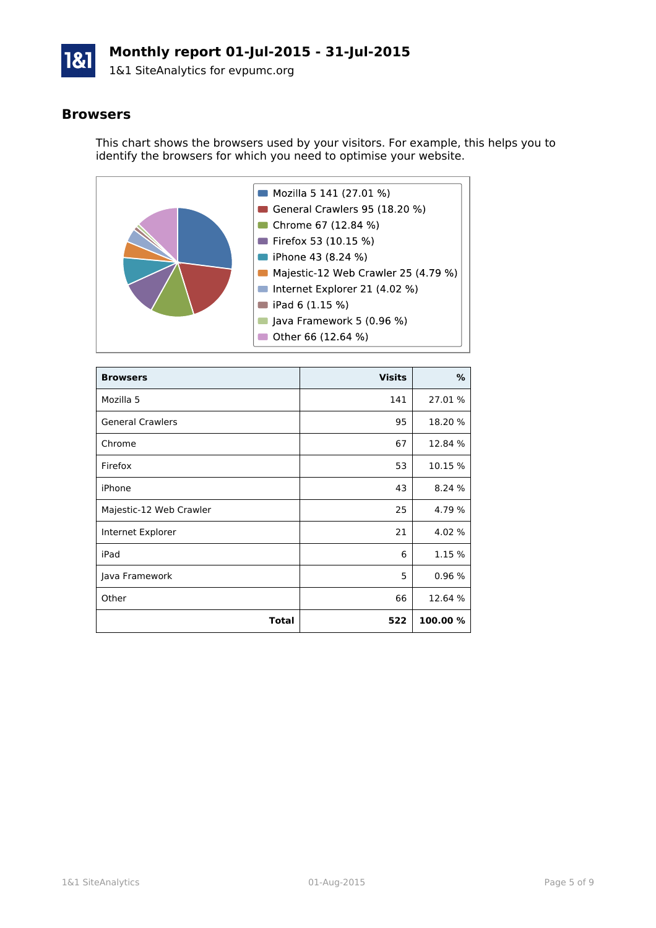

## **Monthly report 01-Jul-2015 - 31-Jul-2015**

1&1 SiteAnalytics for evpumc.org

### **Browsers**

This chart shows the browsers used by your visitors. For example, this helps you to identify the browsers for which you need to optimise your website.



| <b>Browsers</b>         | <b>Visits</b> | %        |
|-------------------------|---------------|----------|
| Mozilla 5               | 141           | 27.01 %  |
| <b>General Crawlers</b> | 95            | 18.20 %  |
| Chrome                  | 67            | 12.84 %  |
| Firefox                 | 53            | 10.15 %  |
| iPhone                  | 43            | 8.24 %   |
| Majestic-12 Web Crawler | 25            | 4.79 %   |
| Internet Explorer       | 21            | 4.02 %   |
| iPad                    | 6             | 1.15 %   |
| Java Framework          | 5             | 0.96%    |
| Other                   | 66            | 12.64 %  |
| Total                   | 522           | 100.00 % |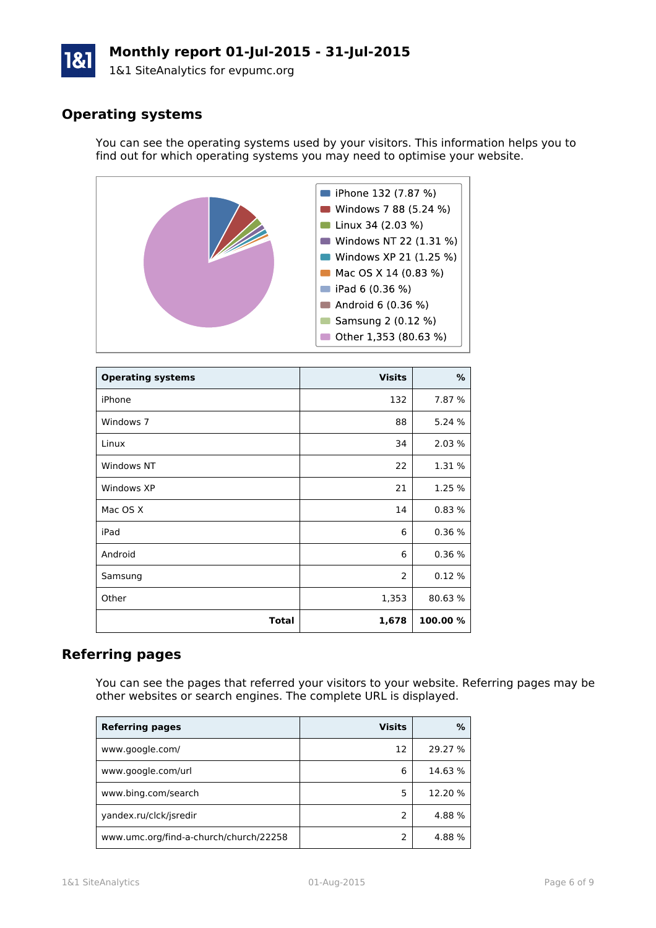# **Monthly report 01-Jul-2015 - 31-Jul-2015**

1&1 SiteAnalytics for evpumc.org

## **Operating systems**

You can see the operating systems used by your visitors. This information helps you to find out for which operating systems you may need to optimise your website.



| <b>Operating systems</b> | <b>Visits</b>  | %        |
|--------------------------|----------------|----------|
| iPhone                   | 132            | 7.87 %   |
| Windows 7                | 88             | 5.24 %   |
| Linux                    | 34             | 2.03 %   |
| Windows NT               | 22             | 1.31 %   |
| Windows XP               | 21             | 1.25 %   |
| Mac OS X                 | 14             | 0.83%    |
| iPad                     | 6              | 0.36%    |
| Android                  | 6              | 0.36%    |
| Samsung                  | $\overline{2}$ | 0.12%    |
| Other                    | 1,353          | 80.63%   |
| <b>Total</b>             | 1,678          | 100.00 % |

### **Referring pages**

You can see the pages that referred your visitors to your website. Referring pages may be other websites or search engines. The complete URL is displayed.

| <b>Referring pages</b>                 | <b>Visits</b> | %       |
|----------------------------------------|---------------|---------|
| www.google.com/                        | 12            | 29.27 % |
| www.google.com/url                     | 6             | 14.63 % |
| www.bing.com/search                    | 5             | 12.20 % |
| yandex.ru/clck/jsredir                 |               | 4.88%   |
| www.umc.org/find-a-church/church/22258 |               | 4.88%   |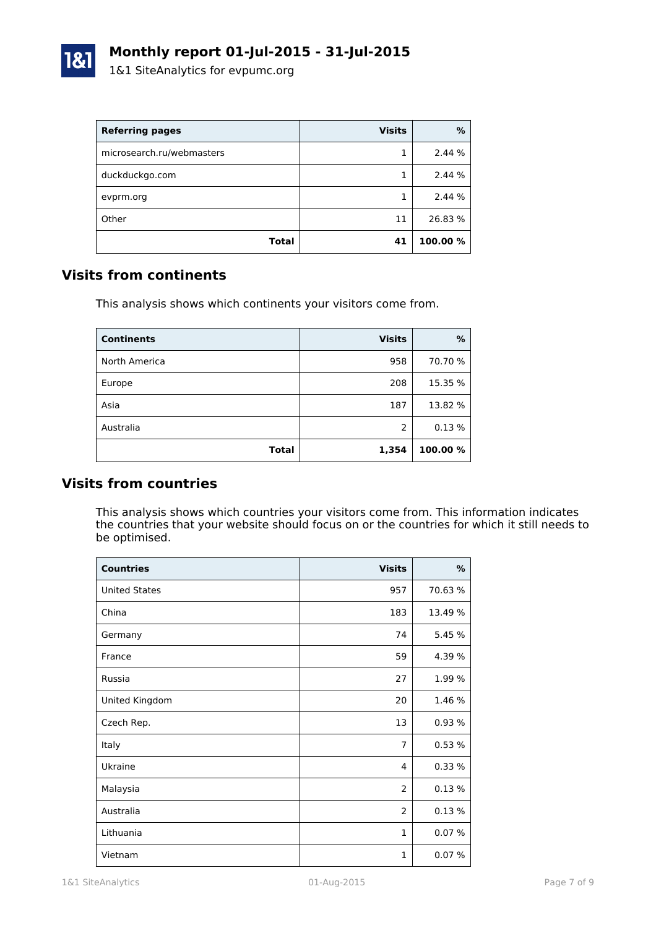

| <b>Referring pages</b>    | <b>Visits</b> | %        |
|---------------------------|---------------|----------|
| microsearch.ru/webmasters |               | 2.44 %   |
| duckduckgo.com            |               | 2.44 %   |
| evprm.org                 |               | 2.44 %   |
| Other                     | 11            | 26.83 %  |
| Total                     | 41            | 100.00 % |

### **Visits from continents**

This analysis shows which continents your visitors come from.

| <b>Continents</b> | <b>Visits</b>  | %        |
|-------------------|----------------|----------|
| North America     | 958            | 70.70 %  |
| Europe            | 208            | 15.35 %  |
| Asia              | 187            | 13.82 %  |
| Australia         | $\overline{2}$ | 0.13%    |
| <b>Total</b>      | 1,354          | 100.00 % |

### **Visits from countries**

This analysis shows which countries your visitors come from. This information indicates the countries that your website should focus on or the countries for which it still needs to be optimised.

| <b>Countries</b>     | <b>Visits</b>  | %       |
|----------------------|----------------|---------|
| <b>United States</b> | 957            | 70.63 % |
| China                | 183            | 13.49 % |
| Germany              | 74             | 5.45 %  |
| France               | 59             | 4.39 %  |
| Russia               | 27             | 1.99 %  |
| United Kingdom       | 20             | 1.46 %  |
| Czech Rep.           | 13             | 0.93%   |
| Italy                | $\overline{7}$ | 0.53 %  |
| Ukraine              | 4              | 0.33%   |
| Malaysia             | $\overline{2}$ | 0.13%   |
| Australia            | $\overline{2}$ | 0.13%   |
| Lithuania            | $\mathbf{1}$   | 0.07%   |
| Vietnam              | $\mathbf{1}$   | 0.07%   |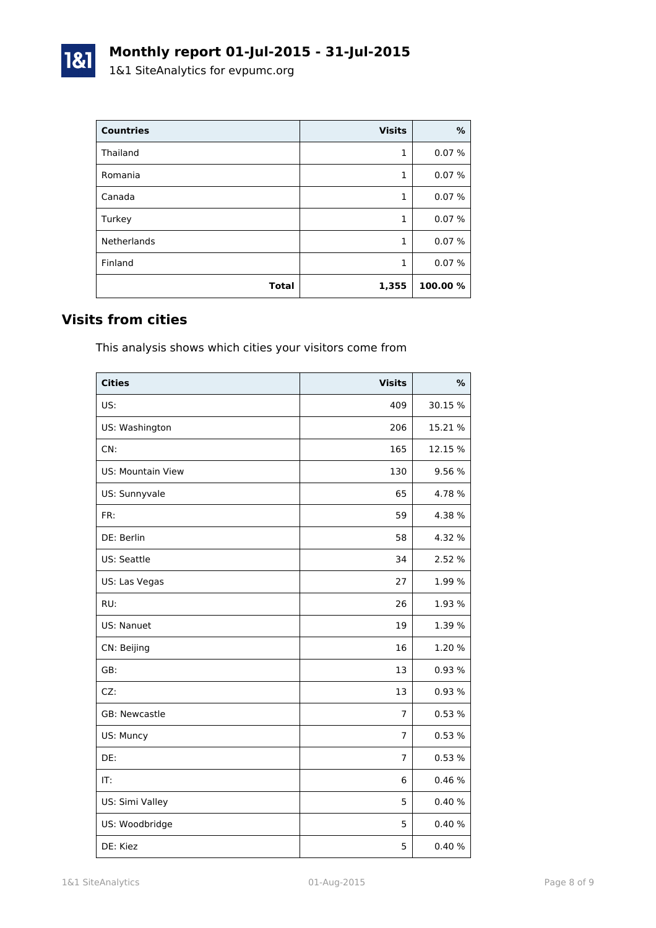| <b>Countries</b>   | <b>Visits</b> | %        |
|--------------------|---------------|----------|
| Thailand           | 1             | 0.07%    |
| Romania            | 1             | 0.07%    |
| Canada             | 1             | 0.07%    |
| Turkey             | 1             | 0.07%    |
| <b>Netherlands</b> | 1             | 0.07%    |
| Finland            | 1             | 0.07%    |
| <b>Total</b>       | 1,355         | 100.00 % |

# **Visits from cities**

1&1

This analysis shows which cities your visitors come from

| <b>Cities</b>            | <b>Visits</b>  | %       |
|--------------------------|----------------|---------|
| US:                      | 409            | 30.15 % |
| US: Washington           | 206            | 15.21 % |
| CN:                      | 165            | 12.15 % |
| <b>US: Mountain View</b> | 130            | 9.56 %  |
| US: Sunnyvale            | 65             | 4.78%   |
| FR:                      | 59             | 4.38 %  |
| DE: Berlin               | 58             | 4.32 %  |
| US: Seattle              | 34             | 2.52 %  |
| US: Las Vegas            | 27             | 1.99%   |
| RU:                      | 26             | 1.93 %  |
| US: Nanuet               | 19             | 1.39 %  |
| CN: Beijing              | 16             | 1.20%   |
| GB:                      | 13             | 0.93%   |
| $CZ$ :                   | 13             | 0.93 %  |
| GB: Newcastle            | $\overline{7}$ | 0.53%   |
| US: Muncy                | $\overline{7}$ | 0.53%   |
| DE:                      | $\overline{7}$ | 0.53%   |
| IT:                      | 6              | 0.46%   |
| US: Simi Valley          | 5              | 0.40%   |
| US: Woodbridge           | 5              | 0.40%   |
| DE: Kiez                 | 5              | 0.40%   |